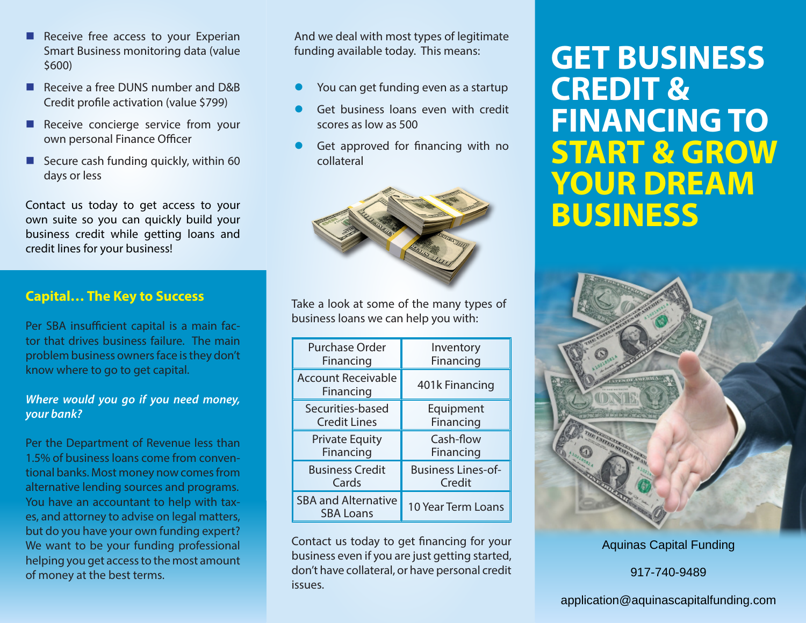- Receive free access to your Experian Smart Business monitoring data (value \$600)
- Receive a free DUNS number and D&B Credit profile activation (value \$799)
- Receive concierge service from your own personal Finance Officer
- Secure cash funding quickly, within  $60$ days or less

Contact us today to get access to your own suite so you can quickly build your business credit while getting loans and credit lines for your business!

## **Capital… The Key to Success**

Per SBA insufficient capital is a main factor that drives business failure. The main problem business owners face is they don't know where to go to get capital.

### *Where would you go if you need money, your bank?*

Per the Department of Revenue less than 1.5% of business loans come from conventional banks. Most money now comes from alternative lending sources and programs. You have an accountant to help with taxes, and attorney to advise on legal matters, but do you have your own funding expert? We want to be your funding professional helping you get access to the most amount of money at the best terms.

And we deal with most types of legitimate funding available today. This means:

- You can get funding even as a startup
- Get business loans even with credit scores as low as 500
- Get approved for financing with no collateral



Take a look at some of the many types of business loans we can help you with:

| <b>Purchase Order</b>                          | Inventory                 |
|------------------------------------------------|---------------------------|
| Financing                                      | Financing                 |
| <b>Account Receivable</b><br>Financing         | 401k Financing            |
| Securities-based                               | Equipment                 |
| <b>Credit Lines</b>                            | Financing                 |
| <b>Private Equity</b>                          | Cash-flow                 |
| Financing                                      | Financing                 |
| <b>Business Credit</b>                         | <b>Business Lines-of-</b> |
| Cards                                          | Credit                    |
| <b>SBA and Alternative</b><br><b>SBA Loans</b> | 10 Year Term Loans        |

Contact us today to get financing for your business even if you are just getting started, don't have collateral, or have personal credit issues.

# **GET BUSINESS CREDIT & FINANCING TO START & GROW YOUR DREAM BUSINESS**



Aquinas Capital Funding

917-740-9489

## application@aquinascapitalfunding.com